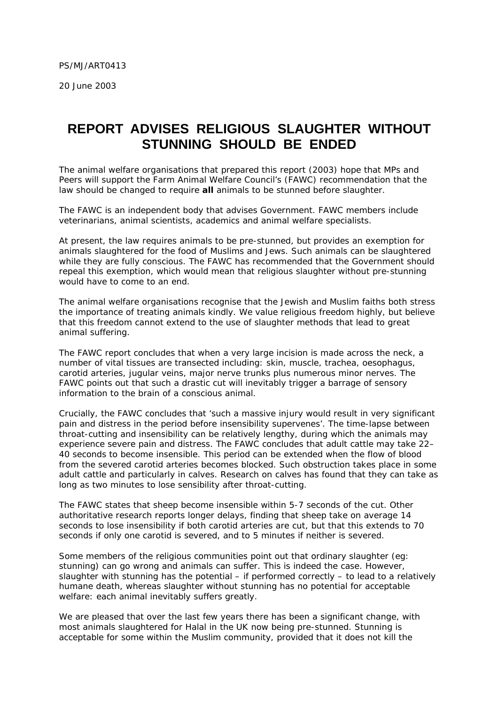20 June 2003

## **REPORT ADVISES RELIGIOUS SLAUGHTER WITHOUT STUNNING SHOULD BE ENDED**

The animal welfare organisations that prepared this report (2003) hope that MPs and Peers will support the Farm Animal Welfare Council's (FAWC) recommendation that the law should be changed to require **all** animals to be stunned before slaughter.

The FAWC is an independent body that advises Government. FAWC members include veterinarians, animal scientists, academics and animal welfare specialists.

At present, the law requires animals to be pre-stunned, but provides an exemption for animals slaughtered for the food of Muslims and Jews. Such animals can be slaughtered while they are fully conscious. The FAWC has recommended that the Government should repeal this exemption, which would mean that religious slaughter without pre-stunning would have to come to an end.

The animal welfare organisations recognise that the Jewish and Muslim faiths both stress the importance of treating animals kindly. We value religious freedom highly, but believe that this freedom cannot extend to the use of slaughter methods that lead to great animal suffering.

The FAWC report concludes that when a very large incision is made across the neck, a number of vital tissues are transected including: skin, muscle, trachea, oesophagus, carotid arteries, jugular veins, major nerve trunks plus numerous minor nerves. The FAWC points out that such a drastic cut will inevitably trigger a barrage of sensory information to the brain of a conscious animal.

Crucially, the FAWC concludes that *'such a massive injury would result in very significant pain and distress in the period before insensibility supervenes'.* The time-lapse between throat-cutting and insensibility can be relatively lengthy, during which the animals may experience severe pain and distress. The FAWC concludes that adult cattle may take 22– 40 seconds to become insensible. This period can be extended when the flow of blood from the severed carotid arteries becomes blocked. Such obstruction takes place in some adult cattle and particularly in calves. Research on calves has found that they can take as long as two minutes to lose sensibility after throat-cutting.

The FAWC states that sheep become insensible within 5-7 seconds of the cut. Other authoritative research reports longer delays, finding that sheep take on average 14 seconds to lose insensibility if both carotid arteries are cut, but that this extends to 70 seconds if only one carotid is severed, and to 5 minutes if neither is severed.

Some members of the religious communities point out that ordinary slaughter (eg: stunning) can go wrong and animals can suffer. This is indeed the case. However, slaughter with stunning has the potential – if performed correctly – to lead to a relatively humane death, whereas slaughter without stunning has no potential for acceptable welfare: each animal inevitably suffers greatly.

We are pleased that over the last few years there has been a significant change, with most animals slaughtered for Halal in the UK now being pre-stunned. Stunning is acceptable for some within the Muslim community, provided that it does not kill the